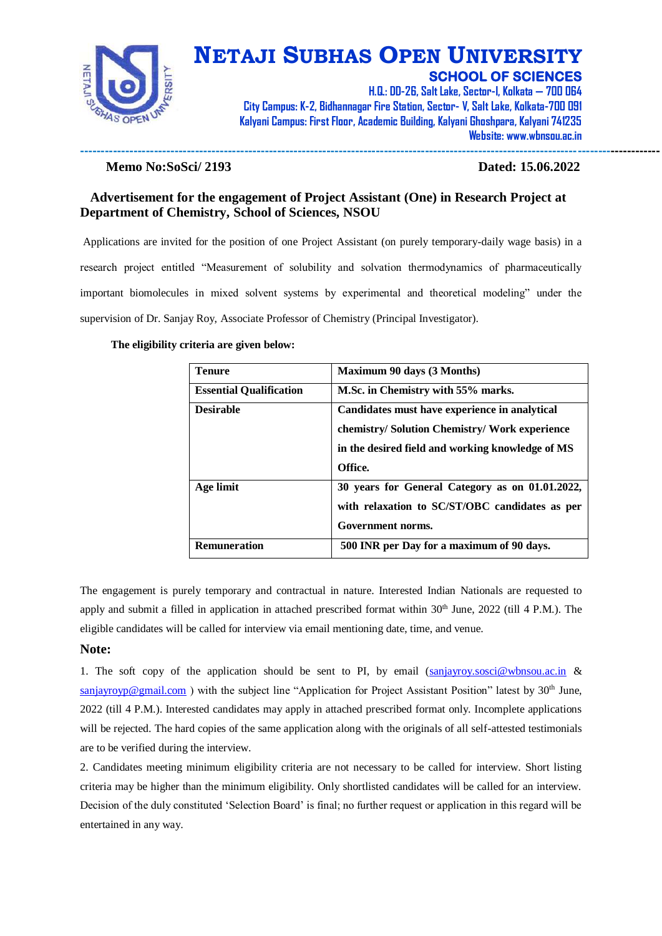

**---------------------------------------------------------------------------------------------------------------------------------------------**

**H.Q.: DD-26, Salt Lake, Sector-I, Kolkata — 700 064 City Campus: K-2, Bidhannagar Fire Station, Sector- V, Salt Lake, Kolkata-700 091 Kalyani Campus: First Floor, Academic Building, Kalyani Ghoshpara, Kalyani 741235 Website: www.wbnsou.ac.in**

#### **Memo No:SoSci/ 2193 Dated: 15.06.2022**

### **Advertisement for the engagement of Project Assistant (One) in Research Project at Department of Chemistry, School of Sciences, NSOU**

Applications are invited for the position of one Project Assistant (on purely temporary-daily wage basis) in a research project entitled "Measurement of solubility and solvation thermodynamics of pharmaceutically important biomolecules in mixed solvent systems by experimental and theoretical modeling" under the supervision of Dr. Sanjay Roy, Associate Professor of Chemistry (Principal Investigator).

#### **The eligibility criteria are given below:**

| <b>Tenure</b>                  | <b>Maximum 90 days (3 Months)</b>                                                                                                                              |  |  |  |
|--------------------------------|----------------------------------------------------------------------------------------------------------------------------------------------------------------|--|--|--|
| <b>Essential Qualification</b> | M.Sc. in Chemistry with 55% marks.                                                                                                                             |  |  |  |
| <b>Desirable</b>               | Candidates must have experience in analytical<br>chemistry/ Solution Chemistry/ Work experience<br>in the desired field and working knowledge of MS<br>Office. |  |  |  |
| Age limit                      | 30 years for General Category as on 01.01.2022,<br>with relaxation to SC/ST/OBC candidates as per<br>Government norms.                                         |  |  |  |
| <b>Remuneration</b>            | 500 INR per Day for a maximum of 90 days.                                                                                                                      |  |  |  |

The engagement is purely temporary and contractual in nature. Interested Indian Nationals are requested to apply and submit a filled in application in attached prescribed format within  $30<sup>th</sup>$  June,  $2022$  (till 4 P.M.). The eligible candidates will be called for interview via email mentioning date, time, and venue.

#### **Note:**

1. The soft copy of the application should be sent to PI, by email  $(sanjayroy.sosci@whnsou.ac.in &$ [sanjayroyp@gmail.com](mailto:sanjayroyp@gmail.com)) with the subject line "Application for Project Assistant Position" latest by 30<sup>th</sup> June, 2022 (till 4 P.M.). Interested candidates may apply in attached prescribed format only. Incomplete applications will be rejected. The hard copies of the same application along with the originals of all self-attested testimonials are to be verified during the interview.

2. Candidates meeting minimum eligibility criteria are not necessary to be called for interview. Short listing criteria may be higher than the minimum eligibility. Only shortlisted candidates will be called for an interview. Decision of the duly constituted 'Selection Board' is final; no further request or application in this regard will be entertained in any way.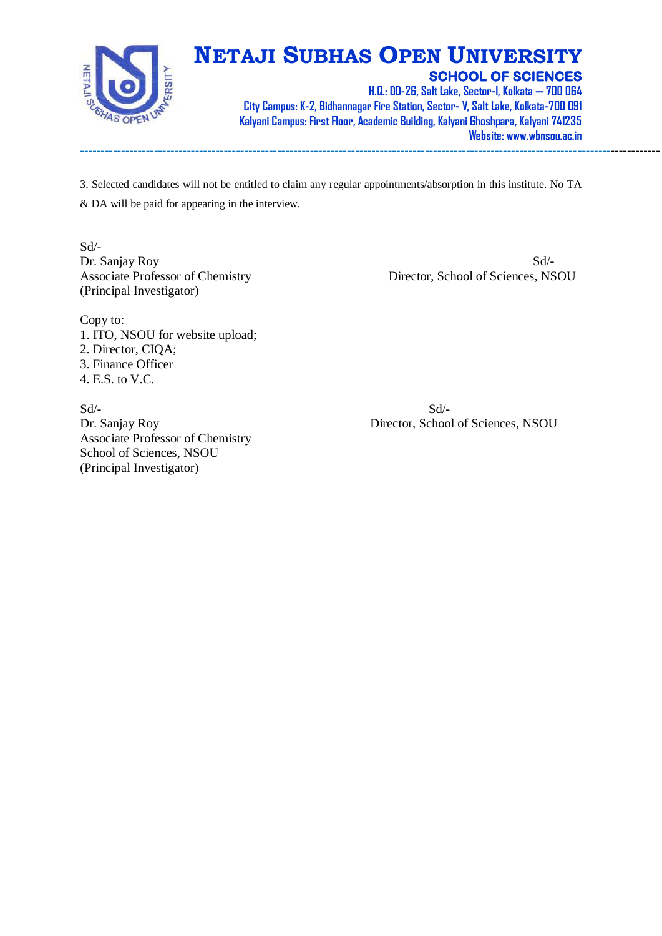

**---------------------------------------------------------------------------------------------------------------------------------------------**

**H.Q.: DD-26, Salt Lake, Sector-I, Kolkata — 700 064 City Campus: K-2, Bidhannagar Fire Station, Sector- V, Salt Lake, Kolkata-700 091 Kalyani Campus: First Floor, Academic Building, Kalyani Ghoshpara, Kalyani 741235 Website: www.wbnsou.ac.in**

3. Selected candidates will not be entitled to claim any regular appointments/absorption in this institute. No TA & DA will be paid for appearing in the interview.

Sd/- Dr. Sanjay Roy Sd<sup>--</sup> (Principal Investigator)

Associate Professor of Chemistry Director, School of Sciences, NSOU

Copy to: 1. ITO, NSOU for website upload; 2. Director, CIQA; 3. Finance Officer 4. E.S. to V.C.

 $Sd$ - $Sd$ -Associate Professor of Chemistry School of Sciences, NSOU (Principal Investigator)

Dr. Sanjay Roy Director, School of Sciences, NSOU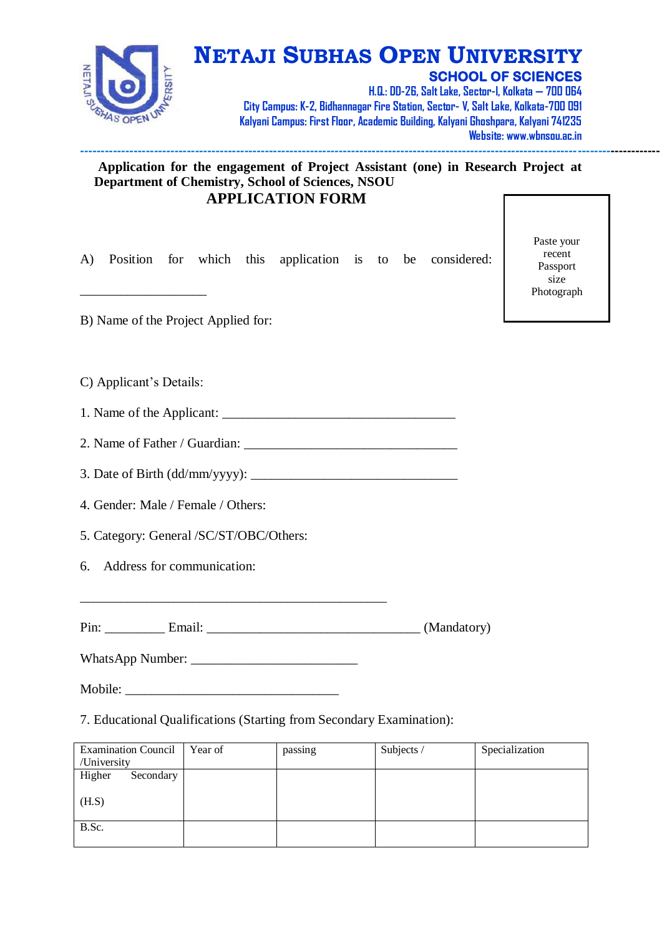

**H.Q.: DD-26, Salt Lake, Sector-I, Kolkata — 700 064 City Campus: K-2, Bidhannagar Fire Station, Sector- V, Salt Lake, Kolkata-700 091 Kalyani Campus: First Floor, Academic Building, Kalyani Ghoshpara, Kalyani 741235 Website: www.wbnsou.ac.in**

## **Application for the engagement of Project Assistant (one) in Research Project at Department of Chemistry, School of Sciences, NSOU APPLICATION FORM**

A) Position for which this application is to be considered:

**---------------------------------------------------------------------------------------------------------------------------------------------**

Paste your recent Passport size Photograph

B) Name of the Project Applied for:

C) Applicant's Details:

\_\_\_\_\_\_\_\_\_\_\_\_\_\_\_\_\_\_\_

1. Name of the Applicant:

2. Name of Father / Guardian:

3. Date of Birth (dd/mm/yyyy): \_\_\_\_\_\_\_\_\_\_\_\_\_\_\_\_\_\_\_\_\_\_\_\_\_\_\_\_\_\_\_

4. Gender: Male / Female / Others:

5. Category: General /SC/ST/OBC/Others:

6. Address for communication:

Pin: Email: Email: (Mandatory)

WhatsApp Number: \_\_\_\_\_\_\_\_\_\_\_\_\_\_\_\_\_\_\_\_\_\_\_\_\_

Mobile:

7. Educational Qualifications (Starting from Secondary Examination):

| <b>Examination Council</b> | Year of | passing | Subjects / | Specialization |
|----------------------------|---------|---------|------------|----------------|
| /University                |         |         |            |                |
| Higher<br>Secondary        |         |         |            |                |
| (H.S)                      |         |         |            |                |
| B.Sc.                      |         |         |            |                |
|                            |         |         |            |                |